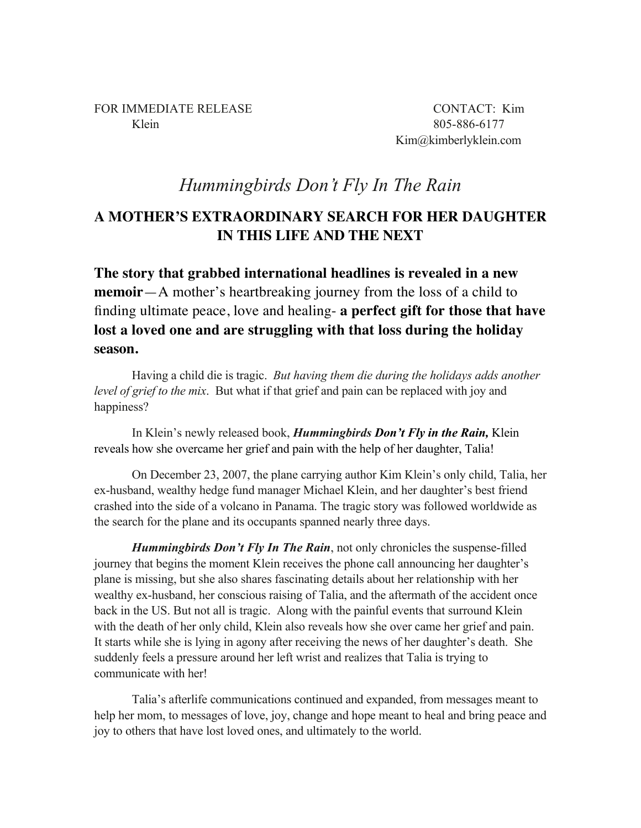Kim@kimberlyklein.com

## *Hummingbirds Don't Fly In The Rain*

## **A MOTHER'S EXTRAORDINARY SEARCH FOR HER DAUGHTER IN THIS LIFE AND THE NEXT**

**The story that grabbed international headlines is revealed in a new memoir**—A mother's heartbreaking journey from the loss of a child to finding ultimate peace, love and healing- **a perfect gift for those that have lost a loved one and are struggling with that loss during the holiday season.**

Having a child die is tragic. *But having them die during the holidays adds another level of grief to the mix*. But what if that grief and pain can be replaced with joy and happiness?

In Klein's newly released book, *Hummingbirds Don't Fly in the Rain,* Klein reveals how she overcame her grief and pain with the help of her daughter, Talia!

On December 23, 2007, the plane carrying author Kim Klein's only child, Talia, her ex-husband, wealthy hedge fund manager Michael Klein, and her daughter's best friend crashed into the side of a volcano in Panama. The tragic story was followed worldwide as the search for the plane and its occupants spanned nearly three days.

*Hummingbirds Don't Fly In The Rain*, not only chronicles the suspense-filled journey that begins the moment Klein receives the phone call announcing her daughter's plane is missing, but she also shares fascinating details about her relationship with her wealthy ex-husband, her conscious raising of Talia, and the aftermath of the accident once back in the US. But not all is tragic. Along with the painful events that surround Klein with the death of her only child, Klein also reveals how she over came her grief and pain. It starts while she is lying in agony after receiving the news of her daughter's death. She suddenly feels a pressure around her left wrist and realizes that Talia is trying to communicate with her!

Talia's afterlife communications continued and expanded, from messages meant to help her mom, to messages of love, joy, change and hope meant to heal and bring peace and joy to others that have lost loved ones, and ultimately to the world.